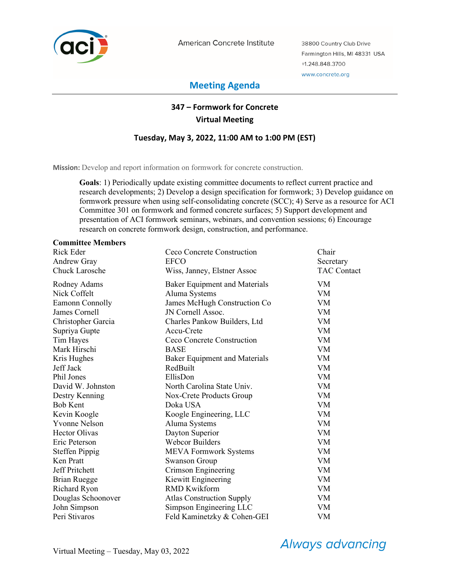

American Concrete Institute

38800 Country Club Drive Farmington Hills, MI 48331 USA +1.248.848.3700 www.concrete.org

# **Meeting Agenda**

# **347 – Formwork for Concrete Virtual Meeting**

## **Tuesday, May 3, 2022, 11:00 AM to 1:00 PM (EST)**

**Mission:** Develop and report information on formwork for concrete construction.

**Goals**: 1) Periodically update existing committee documents to reflect current practice and research developments; 2) Develop a design specification for formwork; 3) Develop guidance on formwork pressure when using self-consolidating concrete (SCC); 4) Serve as a resource for ACI Committee 301 on formwork and formed concrete surfaces; 5) Support development and presentation of ACI formwork seminars, webinars, and convention sessions; 6) Encourage research on concrete formwork design, construction, and performance.

## **Committee Members**  Rick Eder **Ceco Concrete Construction** Chair Andrew Gray **EFCO** Secretary Secretary Chuck Larosche Wiss, Janney, Elstner Assoc TAC Contact Rodney Adams Baker Equipment and Materials VM Nick Coffelt Aluma Systems VM Eamonn Connolly James McHugh Construction Co VM James Cornell JN Cornell Assoc. VM Christopher Garcia Charles Pankow Builders, Ltd VM Supriya Gupte Accu-Crete VM Tim Hayes Ceco Concrete Construction VM Mark Hirschi BASE VM Kris Hughes Baker Equipment and Materials VM Jeff Jack RedBuilt VM Phil Jones EllisDon VM David W. Johnston North Carolina State Univ. VM Destry Kenning Nox-Crete Products Group VM<br>Bob Kent Doka USA VM Doka USA VM Kevin Koogle **Koogle Engineering, LLC** VM Yvonne Nelson Aluma Systems VM Hector Olivas Dayton Superior VM Eric Peterson Webcor Builders VM Steffen Pippig MEVA Formwork Systems VM Ken Pratt Swanson Group VM Jeff Pritchett Crimson Engineering VM Brian Ruegge Kiewitt Engineering VM Richard Ryon RMD Kwikform VM

Douglas Schoonover Atlas Construction Supply VM John Simpson Simpson Engineering LLC VM Peri Stivaros Feld Kaminetzky & Cohen-GEI VM

# Always advancing